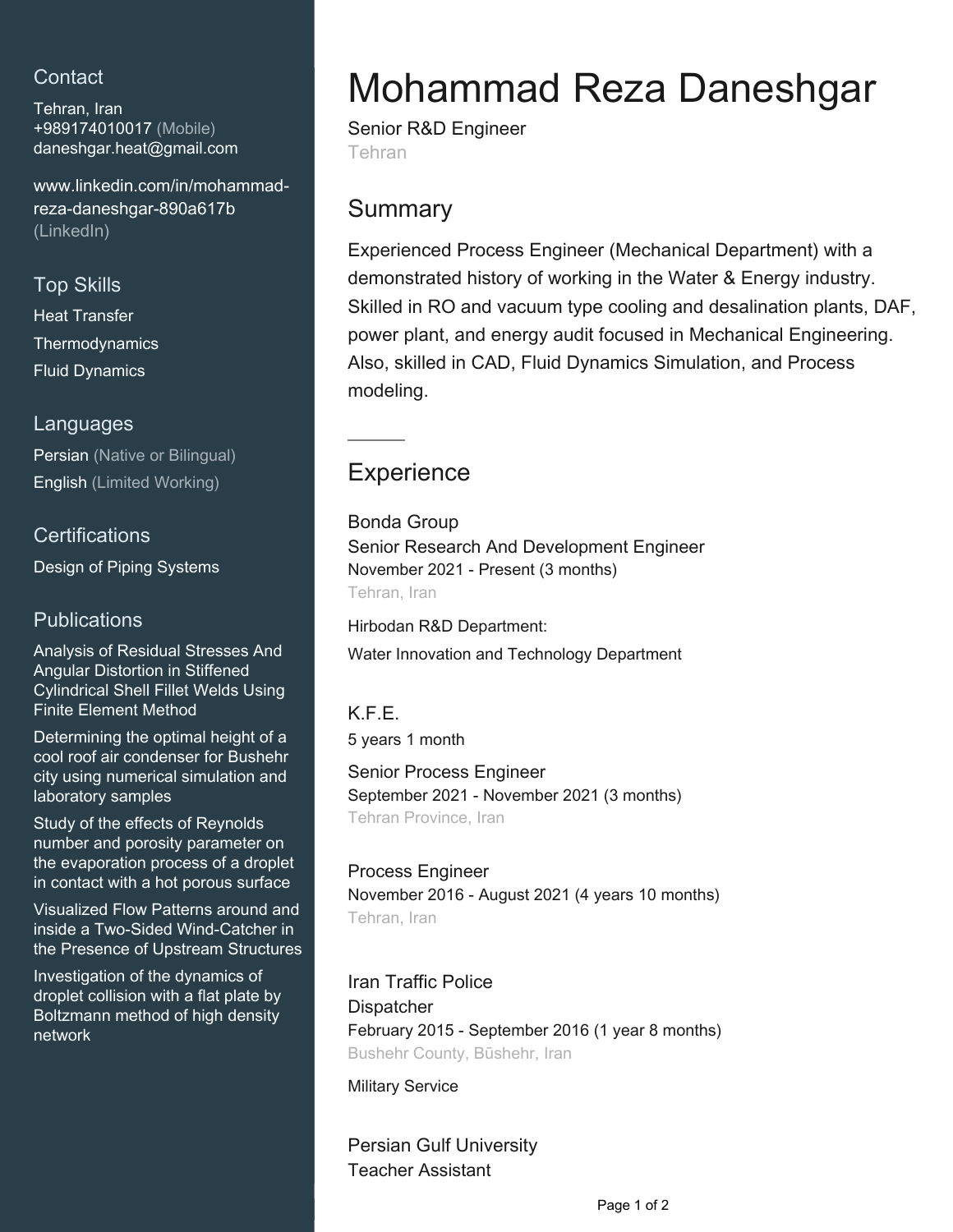## **Contact**

Tehran, Iran +989174010017 (Mobile) [daneshgar.heat@gmail.com](mailto:daneshgar.heat@gmail.com)

[www.linkedin.com/in/mohammad](https://www.linkedin.com/in/mohammad-reza-daneshgar-890a617b?jobid=1234&lipi=urn%3Ali%3Apage%3Ad_jobs_easyapply_pdfgenresume%3BGIwo74DGTDeX4OnhCnsuAQ%3D%3D&licu=urn%3Ali%3Acontrol%3Ad_jobs_easyapply_pdfgenresume-v02_profile)[reza-daneshgar-890a617b](https://www.linkedin.com/in/mohammad-reza-daneshgar-890a617b?jobid=1234&lipi=urn%3Ali%3Apage%3Ad_jobs_easyapply_pdfgenresume%3BGIwo74DGTDeX4OnhCnsuAQ%3D%3D&licu=urn%3Ali%3Acontrol%3Ad_jobs_easyapply_pdfgenresume-v02_profile) [\(LinkedIn\)](https://www.linkedin.com/in/mohammad-reza-daneshgar-890a617b?jobid=1234&lipi=urn%3Ali%3Apage%3Ad_jobs_easyapply_pdfgenresume%3BGIwo74DGTDeX4OnhCnsuAQ%3D%3D&licu=urn%3Ali%3Acontrol%3Ad_jobs_easyapply_pdfgenresume-v02_profile)

#### Top Skills

Heat Transfer **Thermodynamics** Fluid Dynamics

#### Languages

Persian (Native or Bilingual) English (Limited Working)

#### **Certifications**

Design of Piping Systems

## **Publications**

Analysis of Residual Stresses And Angular Distortion in Stiffened Cylindrical Shell Fillet Welds Using Finite Element Method

Determining the optimal height of a cool roof air condenser for Bushehr city using numerical simulation and laboratory samples

Study of the effects of Reynolds number and porosity parameter on the evaporation process of a droplet in contact with a hot porous surface

Visualized Flow Patterns around and inside a Two-Sided Wind-Catcher in the Presence of Upstream Structures

Investigation of the dynamics of droplet collision with a flat plate by Boltzmann method of high density network

# Mohammad Reza Daneshgar

Senior R&D Engineer Tehran

## **Summary**

Experienced Process Engineer (Mechanical Department) with a demonstrated history of working in the Water & Energy industry. Skilled in RO and vacuum type cooling and desalination plants, DAF, power plant, and energy audit focused in Mechanical Engineering. Also, skilled in CAD, Fluid Dynamics Simulation, and Process modeling.

# **Experience**

Bonda Group Senior Research And Development Engineer November 2021 - Present (3 months) Tehran, Iran

Hirbodan R&D Department: Water Innovation and Technology Department

## K.F.E.

5 years 1 month

Senior Process Engineer September 2021 - November 2021 (3 months) Tehran Province, Iran

## Process Engineer

November 2016 - August 2021 (4 years 10 months) Tehran, Iran

## Iran Traffic Police

**Dispatcher** 

February 2015 - September 2016 (1 year 8 months) Bushehr County, Būshehr, Iran

Military Service

Persian Gulf University Teacher Assistant